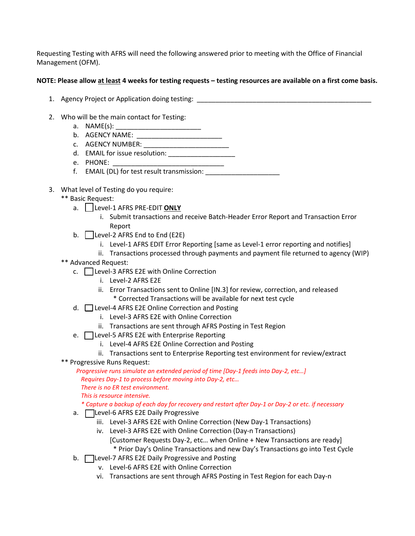Requesting Testing with AFRS will need the following answered prior to meeting with the Office of Financial Management (OFM).

## **NOTE: Please allow at least 4 weeks for testing requests – testing resources are available on a first come basis.**

- 1. Agency Project or Application doing testing:
- 2. Who will be the main contact for Testing:
	- a.  $NAME(s)$ :
	- b. AGENCY NAME: \_\_\_\_\_\_\_\_\_\_\_\_\_\_\_\_\_\_\_\_\_\_\_
	- c. AGENCY NUMBER:
	- d. EMAIL for issue resolution: \_\_\_\_\_\_\_\_\_\_\_\_\_\_\_\_\_\_
	- e. PHONE:
	- f. EMAIL (DL) for test result transmission: \_\_\_\_\_\_\_\_\_\_\_\_\_\_\_\_\_\_\_\_
- 3. What level of Testing do you require:
	- \*\* Basic Request:
		- a. | Level-1 AFRS PRE-EDIT **ONLY** 
			- i. Submit transactions and receive Batch-Header Error Report and Transaction Error Report
		- b.  $\Box$  Level-2 AFRS End to End (E2E)
			- i. Level-1 AFRS EDIT Error Reporting [same as Level-1 error reporting and notifies]
			- ii. Transactions processed through payments and payment file returned to agency (WIP)
	- \*\* Advanced Request:
		- $c.$   $\Box$  Level-3 AFRS E2E with Online Correction
			- i. Level-2 AFRS E2E
			- ii. Error Transactions sent to Online [IN.3] for review, correction, and released \* Corrected Transactions will be available for next test cycle
		- d.  $\Box$  Level-4 AFRS E2E Online Correction and Posting
			- i. Level-3 AFRS E2E with Online Correction
			- ii. Transactions are sent through AFRS Posting in Test Region
		- e. **I** Level-5 AFRS E2E with Enterprise Reporting
			- i. Level-4 AFRS E2E Online Correction and Posting
			- ii. Transactions sent to Enterprise Reporting test environment for review/extract
	- \*\* Progressive Runs Request:

 *Progressive runs simulate an extended period of time [Day-1 feeds into Day-2, etc…] Requires Day-1 to process before moving into Day-2, etc… There is no ER test environment.* 

 *This is resource intensive.* 

## *\* Capture a backup of each day for recovery and restart after Day-1 or Day-2 or etc. if necessary*

- a. **In Level-6 AFRS E2E Daily Progressive** 
	- iii. Level-3 AFRS E2E with Online Correction (New Day-1 Transactions)
	- iv. Level-3 AFRS E2E with Online Correction (Day-n Transactions) [Customer Requests Day-2, etc… when Online + New Transactions are ready]
		- \* Prior Day's Online Transactions and new Day's Transactions go into Test Cycle
- b. **I** Level-7 AFRS E2E Daily Progressive and Posting
	- v. Level-6 AFRS E2E with Online Correction
	- vi. Transactions are sent through AFRS Posting in Test Region for each Day-n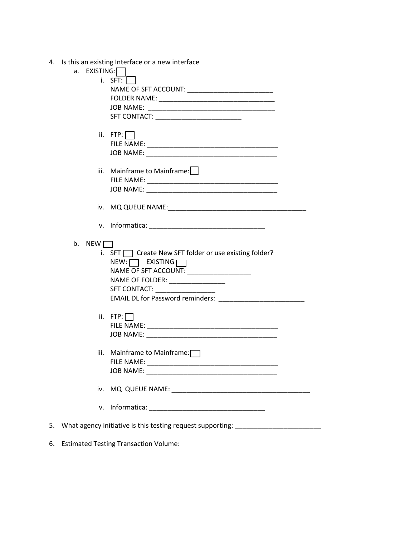|  | 4. Is this an existing Interface or a new interface |  |  |  |  |  |
|--|-----------------------------------------------------|--|--|--|--|--|
|--|-----------------------------------------------------|--|--|--|--|--|

|    | a. $EXISTING:$ |                                                                                  |
|----|----------------|----------------------------------------------------------------------------------|
|    |                | i. SFT: $\vert \vert$                                                            |
|    |                | NAME OF SFT ACCOUNT: ____________________________                                |
|    |                |                                                                                  |
|    |                |                                                                                  |
|    |                |                                                                                  |
|    |                |                                                                                  |
|    |                |                                                                                  |
|    |                | ii. $FTP: \Box$                                                                  |
|    |                |                                                                                  |
|    |                |                                                                                  |
|    |                |                                                                                  |
|    |                | iii. Mainframe to Mainframe:                                                     |
|    |                |                                                                                  |
|    |                |                                                                                  |
|    |                |                                                                                  |
|    |                |                                                                                  |
|    |                |                                                                                  |
|    |                |                                                                                  |
|    |                |                                                                                  |
|    |                |                                                                                  |
|    | b. NEW $\Box$  |                                                                                  |
|    |                | i. SFT   Create New SFT folder or use existing folder?                           |
|    |                |                                                                                  |
|    |                | $NEW: \Box$ EXISTING $\Box$                                                      |
|    |                | NAME OF SFT ACCOUNT: ___________________                                         |
|    |                | NAME OF FOLDER: _______________                                                  |
|    |                |                                                                                  |
|    |                | EMAIL DL for Password reminders:                                                 |
|    |                |                                                                                  |
|    |                | ii. $FTP: \Box$                                                                  |
|    |                |                                                                                  |
|    |                |                                                                                  |
|    |                |                                                                                  |
|    |                |                                                                                  |
|    |                | iii. Mainframe to Mainframe: $\Box$                                              |
|    |                |                                                                                  |
|    |                |                                                                                  |
|    |                |                                                                                  |
|    | iv.            |                                                                                  |
|    |                |                                                                                  |
|    | ٧.             |                                                                                  |
|    |                |                                                                                  |
|    |                |                                                                                  |
| 5. |                | What agency initiative is this testing request supporting: _____________________ |
|    |                |                                                                                  |

6. Estimated Testing Transaction Volume: